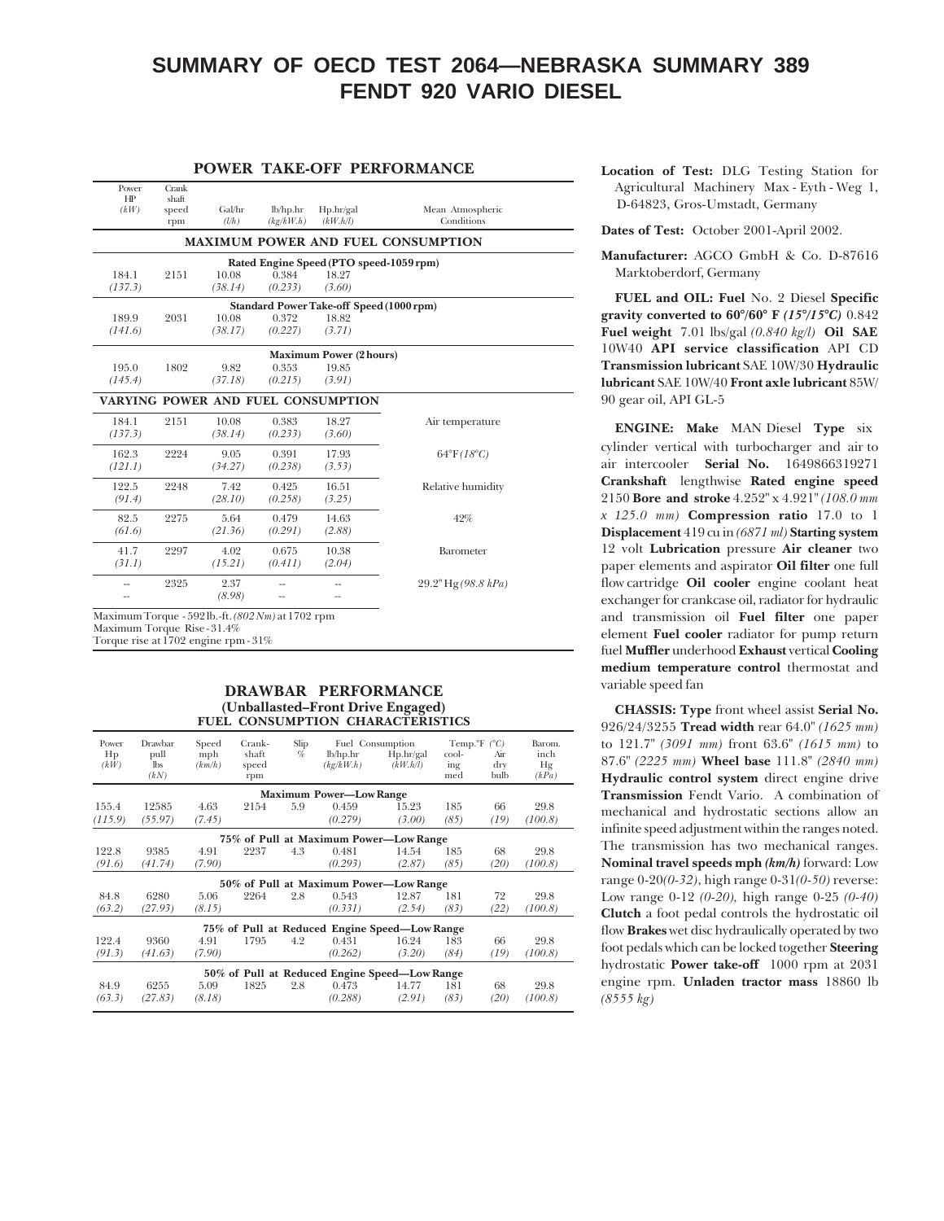# **SUMMARY OF OECD TEST 2064—NEBRASKA SUMMARY 389 FENDT 920 VARIO DIESEL**

#### **POWER TAKE-OFF PERFORMANCE**

| Power<br>HP<br>(kW) | Crank<br>shaft<br>speed<br>rpm | Gal/hr<br>(l/h) | lb/hp/hr<br>(kg/kW.h) | Hp/hr/gal<br>(kW.h/l)              | Mean Atmospheric<br>Conditions            |
|---------------------|--------------------------------|-----------------|-----------------------|------------------------------------|-------------------------------------------|
|                     |                                |                 |                       |                                    | <b>MAXIMUM POWER AND FUEL CONSUMPTION</b> |
|                     |                                |                 |                       |                                    | Rated Engine Speed (PTO speed-1059 rpm)   |
| 184.1               | 2151                           | 10.08           | 0.384                 | 18.27                              |                                           |
| (137.3)             |                                | (38.14)         | (0.233)               | (3.60)                             |                                           |
|                     |                                |                 |                       |                                    | Standard Power Take-off Speed (1000 rpm)  |
| 189.9               | 2031                           | 10.08           | 0.372                 | 18.82                              |                                           |
| (141.6)             |                                | (38.17)         | (0.227)               | (3.71)                             |                                           |
|                     |                                |                 |                       | <b>Maximum Power (2 hours)</b>     |                                           |
| 195.0               | 1802                           | 9.82            | 0.353                 | 19.85                              |                                           |
| (145.4)             |                                | (37.18)         | (0.215)               | (3.91)                             |                                           |
|                     |                                |                 |                       | VARYING POWER AND FUEL CONSUMPTION |                                           |
| 184.1               | 2151                           | 10.08           | 0.383                 | 18.27                              | Air temperature                           |
| (137.3)             |                                | (38.14)         | (0.233)               | (3.60)                             |                                           |
| 162.3               | 2224                           | 9.05            | 0.391                 | 17.93                              | $64^{\circ}F(18^{\circ}C)$                |
| (121.1)             |                                | (34.27)         | (0.238)               | (3.53)                             |                                           |
| 122.5               | 2248                           | 7.42            | 0.425                 | 16.51                              | Relative humidity                         |
| (91.4)              |                                | (28.10)         | (0.258)               | (3.25)                             |                                           |
| 82.5                | 2275                           | 5.64            | 0.479                 | 14.63                              | 42%                                       |
| (61.6)              |                                | (21.36)         | (0.291)               | (2.88)                             |                                           |
| 41.7                | 2297                           | 4.02            | 0.675                 | 10.38                              | Barometer                                 |
| (31.1)              |                                | (15.21)         | (0.411)               | (2.04)                             |                                           |
|                     | 2325                           | 2.37            |                       |                                    | $29.2"$ Hg $(98.8 \; kPa)$                |
|                     |                                | (8.98)          |                       | $-$                                |                                           |
|                     |                                |                 |                       |                                    |                                           |

Maximum Torque - 592 lb.-ft. *(802 Nm)* at 1702 rpm Maximum Torque Rise - 31.4%

Torque rise at 1702 engine rpm - 31%

#### **DRAWBAR PERFORMANCE (Unballasted–Front Drive Engaged) FUEL CONSUMPTION CHARACTERISTICS**

| Power<br>Hp                                   | Drawbar<br>pull    | Speed<br>mph | Crank-<br>shaft | Slip<br>$\%$ | lb/hp/hr                       | Fuel Consumption<br>Hp/hr/gal                 | cool-                | Temp. <sup>o</sup> F $(^{\circ}C)$<br>Air | Barom.<br>inch |
|-----------------------------------------------|--------------------|--------------|-----------------|--------------|--------------------------------|-----------------------------------------------|----------------------|-------------------------------------------|----------------|
| (kW)                                          | <b>lbs</b><br>(kN) | (km/h)       | speed<br>rpm    |              | (kg/kW.h)                      | (kW.h/l)                                      | $\frac{1}{2}$<br>med | dry<br>bulb                               | Hg<br>(kPa)    |
|                                               |                    |              |                 |              | <b>Maximum Power-Low Range</b> |                                               |                      |                                           |                |
| 155.4                                         | 12585              | 4.63         | 2154            | 5.9          | 0.459                          | 15.23                                         | 185                  | 66                                        | 29.8           |
| (115.9)                                       | (55.97)            | (7.45)       |                 |              | (0.279)                        | (3.00)                                        | (85)                 | (19)                                      | (100.8)        |
|                                               |                    |              |                 |              |                                | 75% of Pull at Maximum Power-Low Range        |                      |                                           |                |
| 122.8                                         | 9385               | 4.91         | 2237            | 4.3          | 0.481                          | 14.54                                         | 185                  | 68                                        | 29.8           |
| (91.6)                                        | (41.74)            | (7.90)       |                 |              | (0.293)                        | (2.87)                                        | (85)                 | (20)                                      | (100.8)        |
|                                               |                    |              |                 |              |                                | 50% of Pull at Maximum Power-Low Range        |                      |                                           |                |
| 84.8                                          | 6280               | 5.06         | 2264            | 2.8          | 0.543                          | 12.87                                         | 181                  | 72                                        | 29.8           |
| (63.2)                                        | (27.93)            | (8.15)       |                 |              | (0.331)                        | (2.54)                                        | (83)                 | (22)                                      | (100.8)        |
|                                               |                    |              |                 |              |                                | 75% of Pull at Reduced Engine Speed—Low Range |                      |                                           |                |
| 122.4                                         | 9360               | 4.91         | 1795            | 4.2          | 0.431                          | 16.24                                         | 183                  | 66                                        | 29.8           |
| (91.3)                                        | (41.63)            | (7.90)       |                 |              | (0.262)                        | (3.20)                                        | (84)                 | (19)                                      | (100.8)        |
| 50% of Pull at Reduced Engine Speed-Low Range |                    |              |                 |              |                                |                                               |                      |                                           |                |
| 84.9                                          | 6255               | 5.09         | 1825            | 2.8          | 0.473                          | 14.77                                         | 181                  | 68                                        | 29.8           |
| (63.3)                                        | (27.83)            | (8.18)       |                 |              | (0.288)                        | (2.91)                                        | (83)                 | (20)                                      | (100.8)        |

**Location of Test:** DLG Testing Station for Agricultural Machinery Max - Eyth - Weg 1, D-64823, Gros-Umstadt, Germany

**Dates of Test:** October 2001-April 2002.

**Manufacturer:** AGCO GmbH & Co. D-87616 Marktoberdorf, Germany

**FUEL and OIL: Fuel** No. 2 Diesel **Specific gravity converted to 60°/60° F** *(15°/15°C)* 0.842 **Fuel weight** 7.01 lbs/gal *(0.840 kg/l)* **Oil SAE** 10W40 **API service classification** API CD **Transmission lubricant** SAE 10W/30 **Hydraulic lubricant** SAE 10W/40 **Front axle lubricant** 85W/ 90 gear oil, API GL-5

**ENGINE: Make** MAN Diesel**Type** six cylinder vertical with turbocharger and air to air intercooler **Serial No.** 1649866319271 **Crankshaft** lengthwise **Rated engine speed** 2150 **Bore and stroke** 4.252" x 4.921" *(108.0 mm x 125.0 mm)* **Compression ratio** 17.0 to 1 **Displacement** 419 cu in *(6871 ml)* **Starting system** 12 volt **Lubrication** pressure **Air cleaner** two paper elements and aspirator **Oil filter** one full flow cartridge **Oil cooler** engine coolant heat exchanger for crankcase oil, radiator for hydraulic and transmission oil **Fuel filter** one paper element **Fuel cooler** radiator for pump return fuel **Muffler** underhood **Exhaust** vertical **Cooling medium temperature control** thermostat and variable speed fan

**CHASSIS: Type** front wheel assist **Serial No.** 926/24/3255 **Tread width** rear 64.0" *(1625 mm)* to 121.7" *(3091 mm)* front 63.6" *(1615 mm)* to 87.6" *(2225 mm)* **Wheel base** 111.8" *(2840 mm)* **Hydraulic control system** direct engine drive **Transmission** Fendt Vario. A combination of mechanical and hydrostatic sections allow an infinite speed adjustment within the ranges noted. The transmission has two mechanical ranges. **Nominal travel speeds mph** *(km/h)* forward: Low range 0-20*(0-32)*, high range 0-31*(0-50)* reverse: Low range 0-12 *(0-20),* high range 0-25 *(0-40)* **Clutch** a foot pedal controls the hydrostatic oil flow **Brakes** wet disc hydraulically operated by two foot pedals which can be locked together **Steering** hydrostatic **Power take-off** 1000 rpm at 2031 engine rpm. **Unladen tractor mass** 18860 lb *(8555 kg)*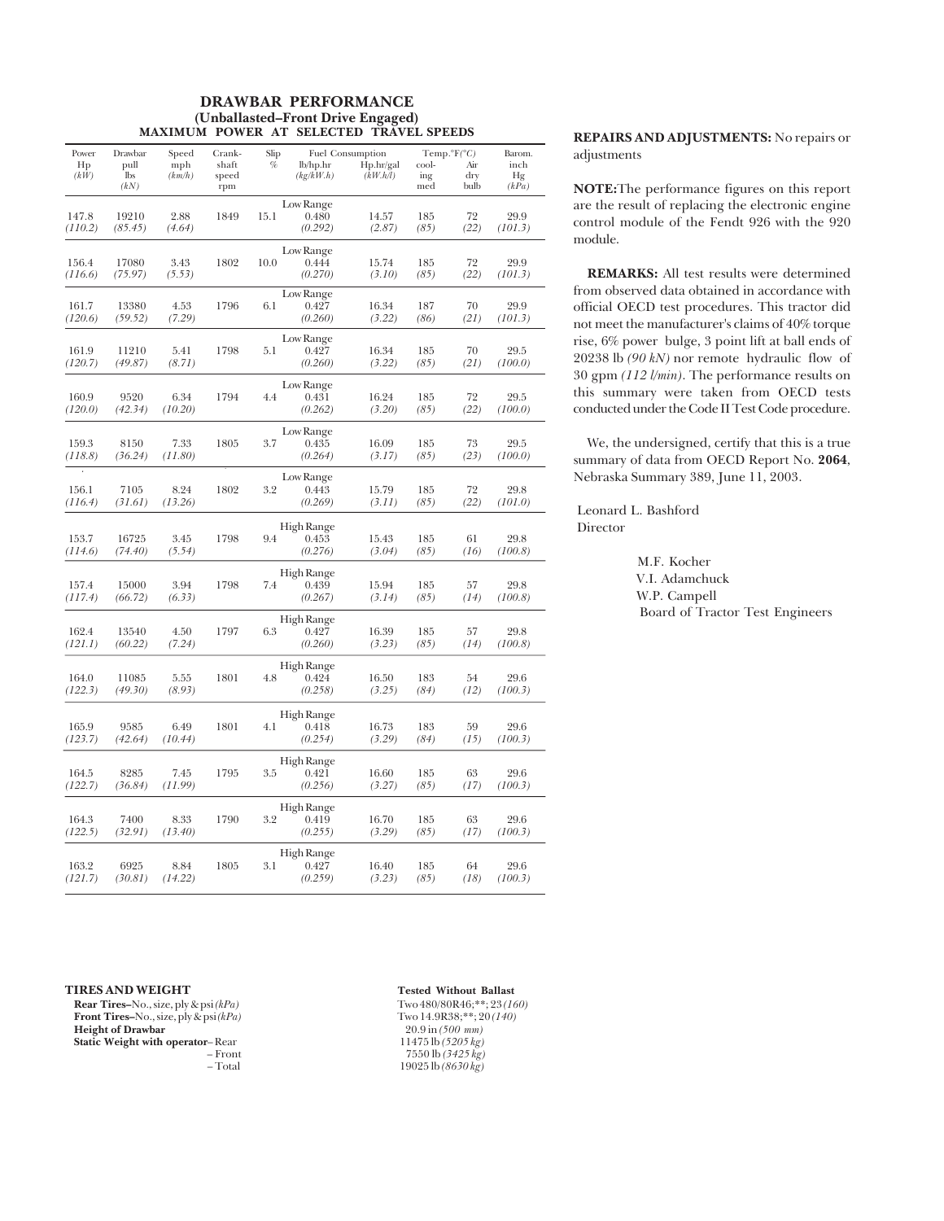#### **DRAWBAR PERFORMANCE (Unballasted–Front Drive Engaged) MAXIMUM POWER AT SELECTED TRAVEL SPEEDS**

| Power            | Drawbar                    | Speed           | Crank-                | Slip |                                | Fuel Consumption      |                     | Temp. ${}^{\circ}F({}^{\circ}C)$ | Barom.              |
|------------------|----------------------------|-----------------|-----------------------|------|--------------------------------|-----------------------|---------------------|----------------------------------|---------------------|
| Hp<br>(kW)       | pull<br><b>lbs</b><br>(kN) | mph<br>(km/h)   | shaft<br>speed<br>rpm | %    | lb/hp.hr<br>(kg/kW.h)          | Hp.hr/gal<br>(kW.h/l) | cool-<br>ing<br>med | Air<br>dry<br>bulb               | inch<br>Hg<br>(kPa) |
| 147.8<br>(110.2) | 19210<br>(85.45)           | 2.88<br>(4.64)  | 1849                  | 15.1 | Low Range<br>0.480<br>(0.292)  | 14.57<br>(2.87)       | 185<br>(85)         | 72<br>(22)                       | 29.9<br>(101.3)     |
| 156.4<br>(116.6) | 17080<br>(75.97)           | 3.43<br>(5.53)  | 1802                  | 10.0 | Low Range<br>0.444<br>(0.270)  | 15.74<br>(3.10)       | 185<br>(85)         | 72<br>(22)                       | 29.9<br>(101.3)     |
| 161.7<br>(120.6) | 13380<br>(59.52)           | 4.53<br>(7.29)  | 1796                  | 6.1  | Low Range<br>0.427<br>(0.260)  | 16.34<br>(3.22)       | 187<br>(86)         | 70<br>(21)                       | 29.9<br>(101.3)     |
| 161.9<br>(120.7) | 11210<br>(49.87)           | 5.41<br>(8.71)  | 1798                  | 5.1  | Low Range<br>0.427<br>(0.260)  | 16.34<br>(3.22)       | 185<br>(85)         | 70<br>(21)                       | 29.5<br>(100.0)     |
| 160.9<br>(120.0) | 9520<br>(42.34)            | 6.34<br>(10.20) | 1794                  | 4.4  | Low Range<br>0.431<br>(0.262)  | 16.24<br>(3.20)       | 185<br>(85)         | 72<br>(22)                       | 29.5<br>(100.0)     |
| 159.3<br>(118.8) | 8150<br>(36.24)            | 7.33<br>(11.80) | 1805                  | 3.7  | Low Range<br>0.435<br>(0.264)  | 16.09<br>(3.17)       | 185<br>(85)         | 73<br>(23)                       | 29.5<br>(100.0)     |
| 156.1<br>(116.4) | 7105<br>(31.61)            | 8.24<br>(13.26) | 1802                  | 3.2  | Low Range<br>0.443<br>(0.269)  | 15.79<br>(3.11)       | 185<br>(85)         | 72<br>(22)                       | 29.8<br>(101.0)     |
| 153.7<br>(114.6) | 16725<br>(74.40)           | 3.45<br>(5.54)  | 1798                  | 9.4  | High Range<br>0.453<br>(0.276) | 15.43<br>(3.04)       | 185<br>(85)         | 61<br>(16)                       | 29.8<br>(100.8)     |
| 157.4<br>(117.4) | 15000<br>(66.72)           | 3.94<br>(6.33)  | 1798                  | 7.4  | High Range<br>0.439<br>(0.267) | 15.94<br>(3.14)       | 185<br>(85)         | 57<br>(14)                       | 29.8<br>(100.8)     |
| 162.4<br>(121.1) | 13540<br>(60.22)           | 4.50<br>(7.24)  | 1797                  | 6.3  | High Range<br>0.427<br>(0.260) | 16.39<br>(3.23)       | 185<br>(85)         | 57<br>(14)                       | 29.8<br>(100.8)     |
| 164.0<br>(122.3) | 11085<br>(49.30)           | 5.55<br>(8.93)  | 1801                  | 4.8  | High Range<br>0.424<br>(0.258) | 16.50<br>(3.25)       | 183<br>(84)         | 54<br>(12)                       | 29.6<br>(100.3)     |
| 165.9<br>(123.7) | 9585<br>(42.64)            | 6.49<br>(10.44) | 1801                  | 4.1  | High Range<br>0.418<br>(0.254) | 16.73<br>(3.29)       | 183<br>(84)         | 59<br>(15)                       | 29.6<br>(100.3)     |
| 164.5<br>(122.7) | 8285<br>(36.84)            | 7.45<br>(11.99) | 1795                  | 3.5  | High Range<br>0.421<br>(0.256) | 16.60<br>(3.27)       | 185<br>(85)         | 63<br>(17)                       | 29.6<br>(100.3)     |
| 164.3<br>(122.5) | 7400<br>(32.91)            | 8.33<br>(13.40) | 1790                  | 3.2  | High Range<br>0.419<br>(0.255) | 16.70<br>(3.29)       | 185<br>(85)         | 63<br>(17)                       | 29.6<br>(100.3)     |
| 163.2<br>(121.7) | 6925<br>(30.81)            | 8.84<br>(14.22) | 1805                  | 3.1  | High Range<br>0.427<br>(0.259) | 16.40<br>(3.23)       | 185<br>(85)         | 64<br>(18)                       | 29.6<br>(100.3)     |

### **REPAIRS AND ADJUSTMENTS:** No repairs or adjustments

**NOTE:**The performance figures on this report are the result of replacing the electronic engine control module of the Fendt 926 with the 920 module.

**REMARKS:** All test results were determined from observed data obtained in accordance with official OECD test procedures. This tractor did not meet the manufacturer's claims of 40% torque rise, 6% power bulge, 3 point lift at ball ends of 20238 lb *(90 kN)* nor remote hydraulic flow of 30 gpm *(112 l/min)*. The performance results on this summary were taken from OECD tests conducted under the Code II Test Code procedure.

We, the undersigned, certify that this is a true summary of data from OECD Report No. **2064**, Nebraska Summary 389, June 11, 2003.

 Leonard L. Bashford Director

> M.F. Kocher V.I. Adamchuck W.P. Campell Board of Tractor Test Engineers

#### **TIRES AND WEIGHT Tested Without Ballast**

**Rear Tires–**No., size, ply & psi (kPa) Two 480/80R46;\*\*; 23 (160)<br> **Front Tires–**No., size, ply & psi (kPa) Two 14.9R38;\*\*; 20 (140) **Front Tires–**No., size, ply & psi *(kPa)* Two 14.9R38;\*\*; 2<br> **Height of Drawbar** 20.9 in (500 nm) **Height of Drawbar** 20.9 in *(500 mm)*<br> **Static Weight with operator-Rear** 20.9 in *(500 mm)*<br>
11475 lb *(5205 kg)* **Static Weight with operator–Rear**<br>- Front

– Front 7550 lb *(3425 kg)* – Total 19025 lb *(8630 kg)*